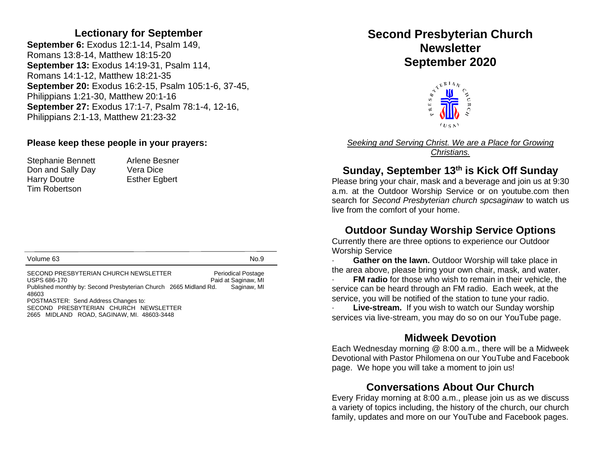#### **Lectionary for September**

**September 6:** Exodus 12:1-14, Psalm 149, Romans 13:8-14, Matthew 18:15-20 **September 13:** Exodus 14:19-31, Psalm 114, Romans 14:1-12, Matthew 18:21-35 **September 20:** Exodus 16:2-15, Psalm 105:1-6, 37-45, Philippians 1:21-30, Matthew 20:1-16 **September 27:** Exodus 17:1-7, Psalm 78:1-4, 12-16, Philippians 2:1-13, Matthew 21:23-32

#### **Please keep these people in your prayers:**

Stephanie Bennett Arlene Besner Don and Sally Day Vera Dice Harry Doutre **Esther Egbert** Tim Robertson

Volume 63 No.9

SECOND PRESBYTERIAN CHURCH NEWSLETTER Periodical Postage USPS 686-170 **Paid at Saginaw, MI** Published monthly by: Second Presbyterian Church 2665 Midland Rd. Saginaw, MI 48603 POSTMASTER: Send Address Changes to: SECOND PRESBYTERIAN CHURCH NEWSLETTER 2665 MIDLAND ROAD, SAGINAW, MI. 48603-3448

### **Second Presbyterian Church Newsletter September 2020**



*Seeking and Serving Christ. We are a Place for Growing Christians.*

#### **Sunday, September 13th is Kick Off Sunday**

Please bring your chair, mask and a beverage and join us at 9:30 a.m. at the Outdoor Worship Service or on youtube.com then search for *Second Presbyterian church spcsaginaw* to watch us live from the comfort of your home.

#### **Outdoor Sunday Worship Service Options**

Currently there are three options to experience our Outdoor Worship Service

**Gather on the lawn.** Outdoor Worship will take place in the area above, please bring your own chair, mask, and water.

**FM radio** for those who wish to remain in their vehicle, the service can be heard through an FM radio. Each week, at the service, you will be notified of the station to tune your radio.

**Live-stream.** If you wish to watch our Sunday worship services via live-stream, you may do so on our YouTube page.

#### **Midweek Devotion**

Each Wednesday morning @ 8:00 a.m., there will be a Midweek Devotional with Pastor Philomena on ou[r YouTube](https://www.spcsaginaw.org/so/5cNG9bx2t/c?w=dAn7t3549otWbyokBtYF68sPPKgxtTFIsnaJLcAfADk.eyJ1IjoiaHR0cHM6Ly93d3cueW91dHViZS5jb20vY2hhbm5lbC9VQzJyRmFEclVlbEd3MW5LbnVpRkNnaXciLCJyIjoiMDhlMjEzOTEtNzZjZS00NzVjLTlhNWEtZTI3NThkNTI4ZWFhIiwibSI6Im1haWwiLCJjIjoiMDAwMDAwMDAtMDAwMC0wMDAwLTAwMDAtMDAwMDAwMDAwMDAwIn0) and [Facebook](https://www.spcsaginaw.org/so/5cNG9bx2t/c?w=sgmOnAFL4JSWgoLFhlx52RbY1fnMzai3En8yeWdPWfs.eyJ1IjoiaHR0cHM6Ly93d3cuZmFjZWJvb2suY29tL3NwY3NhZ2luYXcvIiwiciI6IjA4ZTIxMzkxLTc2Y2UtNDc1Yy05YTVhLWUyNzU4ZDUyOGVhYSIsIm0iOiJtYWlsIiwiYyI6IjAwMDAwMDAwLTAwMDAtMDAwMC0wMDAwLTAwMDAwMDAwMDAwMCJ9) page. We hope you will take a moment to join us!

#### **Conversations About Our Church**

Every Friday morning at 8:00 a.m., please join us as we discuss a variety of topics including, the history of the church, our church family, updates and more on our YouTube and Facebook pages.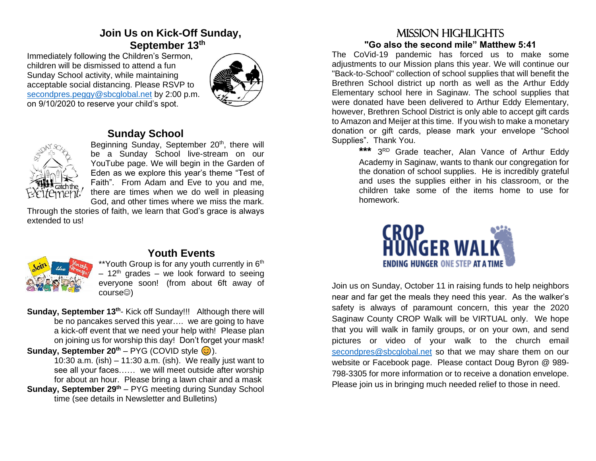#### **Join Us on Kick-Off Sunday, September 13th**

Immediately following the Children's Sermon, children will be dismissed to attend a fun Sunday School activity, while maintaining acceptable social distancing. Please RSVP to [secondpres.peggy@sbcglobal.net](mailto:secondpres.peggy@sbcglobal.net) by 2:00 p.m. on 9/10/2020 to reserve your child's spot.



#### **Sunday School**



Beginning Sunday, September 20<sup>th</sup>, there will be a Sunday School live-stream on our YouTube page. We will begin in the Garden of Eden as we explore this year's theme "Test of Faith". From Adam and Eve to you and me, there are times when we do well in pleasing God, and other times where we miss the mark.

Through the stories of faith, we learn that God's grace is always extended to us!



#### **Youth Events**

\*\*Youth Group is for any youth currently in 6<sup>th</sup>  $-12$ <sup>th</sup> grades – we look forward to seeing everyone soon! (from about 6ft away of course☺)

Sunday, September 13<sup>th</sup>- Kick off Sunday!!! Although there will be no pancakes served this year…. we are going to have a kick-off event that we need your help with! Please plan on joining us for worship this day! Don't forget your mask! **Sunday, September 20<sup>th</sup>** – PYG (COVID style  $\odot$ ).

10:30 a.m. (ish)  $-11:30$  a.m. (ish). We really just want to see all your faces…… we will meet outside after worship for about an hour. Please bring a lawn chair and a mask

**Sunday, September 29th** – PYG meeting during Sunday School time (see details in Newsletter and Bulletins)

#### Mission highlights **"Go also the second mile" Matthew 5:41**

The CoVid-19 pandemic has forced us to make some adjustments to our Mission plans this year. We will continue our "Back-to-School" collection of school supplies that will benefit the Brethren School district up north as well as the Arthur Eddy Elementary school here in Saginaw. The school supplies that were donated have been delivered to Arthur Eddy Elementary, however, Brethren School District is only able to accept gift cards to Amazon and Meijer at this time. If you wish to make a monetary donation or gift cards, please mark your envelope "School Supplies". Thank You.

> **\*\*\*** 3 RD Grade teacher, Alan Vance of Arthur Eddy Academy in Saginaw, wants to thank our congregation for the donation of school supplies. He is incredibly grateful and uses the supplies either in his classroom, or the children take some of the items home to use for homework.



Join us on Sunday, October 11 in raising funds to help neighbors near and far get the meals they need this year. As the walker's safety is always of paramount concern, this year the 2020 Saginaw County CROP Walk will be VIRTUAL only. We hope that you will walk in family groups, or on your own, and send pictures or video of your walk to the church email [secondpres@sbcglobal.net](mailto:secondpres@sbcglobal.net) so that we may share them on our website or Facebook page. Please contact Doug Byron @ 989- 798-3305 for more information or to receive a donation envelope. Please join us in bringing much needed relief to those in need.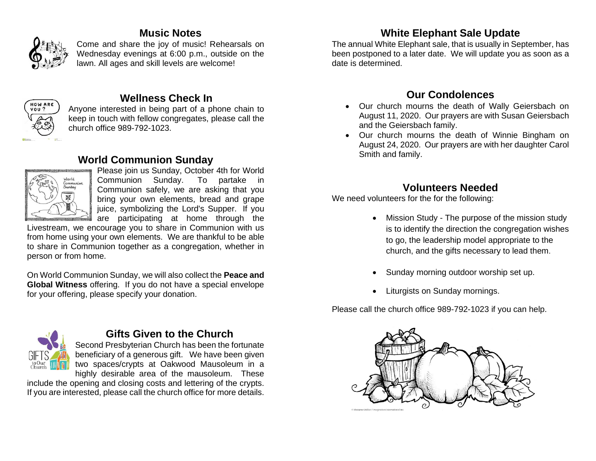

#### **Music Notes**

Come and share the joy of music! Rehearsals on Wednesday evenings at 6:00 p.m., outside on the lawn. All ages and skill levels are welcome!



## **Wellness Check In**

Anyone interested in being part of a phone chain to keep in touch with fellow congregates, please call the church office 989-792-1023.

#### **World Communion Sunday**



Please join us Sunday, October 4th for World Communion Sunday. To partake in Communion safely, we are asking that you bring your own elements, bread and grape juice, symbolizing the Lord's Supper. If you are participating at home through the

Livestream, we encourage you to share in Communion with us from home using your own elements. We are thankful to be able to share in Communion together as a congregation, whether in person or from home.

On World Communion Sunday, we will also collect the **Peace and Global Witness** offering. If you do not have a special envelope for your offering, please specify your donation.



#### **Gifts Given to the Church**

Second Presbyterian Church has been the fortunate beneficiary of a generous gift. We have been given two spaces/crypts at Oakwood Mausoleum in a highly desirable area of the mausoleum. These

include the opening and closing costs and lettering of the crypts. If you are interested, please call the church office for more details.

#### **White Elephant Sale Update**

The annual White Elephant sale, that is usually in September, has been postponed to a later date. We will update you as soon as a date is determined.

### **Our Condolences**

- Our church mourns the death of Wally Geiersbach on August 11, 2020. Our prayers are with Susan Geiersbach and the Geiersbach family.
- Our church mourns the death of Winnie Bingham on August 24, 2020. Our prayers are with her daughter Carol Smith and family.

#### **Volunteers Needed**

We need volunteers for the for the following:

- Mission Study The purpose of the mission study is to identify the direction the congregation wishes to go, the leadership model appropriate to the church, and the gifts necessary to lead them.
- Sunday morning outdoor worship set up.
- Liturgists on Sunday mornings.

Please call the church office 989-792-1023 if you can help.

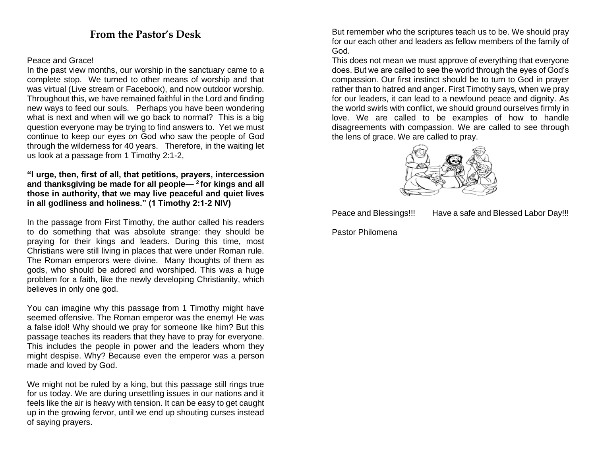#### **From the Pastor's Desk**

#### Peace and Grace!

In the past view months, our worship in the sanctuary came to a complete stop. We turned to other means of worship and that was virtual (Live stream or Facebook), and now outdoor worship. Throughout this, we have remained faithful in the Lord and finding new ways to feed our souls. Perhaps you have been wondering what is next and when will we go back to normal? This is a big question everyone may be trying to find answers to. Yet we must continue to keep our eyes on God who saw the people of God through the wilderness for 40 years. Therefore, in the waiting let us look at a passage from 1 Timothy 2:1-2,

#### **"I urge, then, first of all, that petitions, prayers, intercession and thanksgiving be made for all people— <sup>2</sup> for kings and all those in authority, that we may live peaceful and quiet lives in all godliness and holiness." (1 Timothy 2:1-2 NIV)**

In the passage from First Timothy, the author called his readers to do something that was absolute strange: they should be praying for their kings and leaders. During this time, most Christians were still living in places that were under Roman rule. The Roman emperors were divine. Many thoughts of them as gods, who should be adored and worshiped. This was a huge problem for a faith, like the newly developing Christianity, which believes in only one god.

You can imagine why this passage from 1 Timothy might have seemed offensive. The Roman emperor was the enemy! He was a false idol! Why should we pray for someone like him? But this passage teaches its readers that they have to pray for everyone. This includes the people in power and the leaders whom they might despise. Why? Because even the emperor was a person made and loved by God.

We might not be ruled by a king, but this passage still rings true for us today. We are during unsettling issues in our nations and it feels like the air is heavy with tension. It can be easy to get caught up in the growing fervor, until we end up shouting curses instead of saying prayers.

But remember who the scriptures teach us to be. We should pray for our each other and leaders as fellow members of the family of God.

This does not mean we must approve of everything that everyone does. But we are called to see the world through the eyes of God's compassion. Our first instinct should be to turn to God in prayer rather than to hatred and anger. First Timothy says, when we pray for our leaders, it can lead to a newfound peace and dignity. As the world swirls with conflict, we should ground ourselves firmly in love. We are called to be examples of how to handle disagreements with compassion. We are called to see through the lens of grace. We are called to pray.



Peace and Blessings!!! Have a safe and Blessed Labor Day!!!

Pastor Philomena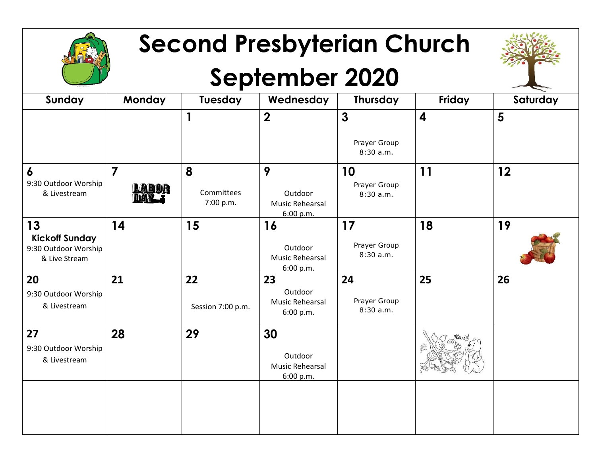

# **Second Presbyterian Church**

# **September 2020**



| Sunday                                                               | <b>Monday</b>                  | Tuesday                      | Wednesday                                            | <b>Thursday</b>                 | Friday | Saturday |
|----------------------------------------------------------------------|--------------------------------|------------------------------|------------------------------------------------------|---------------------------------|--------|----------|
|                                                                      |                                | $\mathbf{1}$                 | $\overline{2}$                                       | $\mathbf{3}$                    | 4      | 5        |
|                                                                      |                                |                              |                                                      | Prayer Group<br>8:30 a.m.       |        |          |
| 6<br>9:30 Outdoor Worship<br>& Livestream                            | $\overline{7}$<br><b>LABOR</b> | 8<br>Committees<br>7:00 p.m. | 9<br>Outdoor<br><b>Music Rehearsal</b><br>6:00 p.m.  | 10<br>Prayer Group<br>8:30 a.m. | 11     | 12       |
| 13<br><b>Kickoff Sunday</b><br>9:30 Outdoor Worship<br>& Live Stream | 14                             | 15                           | 16<br>Outdoor<br><b>Music Rehearsal</b><br>6:00 p.m. | 17<br>Prayer Group<br>8:30 a.m. | 18     | 19       |
| 20<br>9:30 Outdoor Worship<br>& Livestream                           | 21                             | 22<br>Session 7:00 p.m.      | 23<br>Outdoor<br>Music Rehearsal<br>6:00 p.m.        | 24<br>Prayer Group<br>8:30 a.m. | 25     | 26       |
| 27<br>9:30 Outdoor Worship<br>& Livestream                           | 28                             | 29                           | 30<br>Outdoor<br><b>Music Rehearsal</b><br>6:00 p.m. |                                 |        |          |
|                                                                      |                                |                              |                                                      |                                 |        |          |